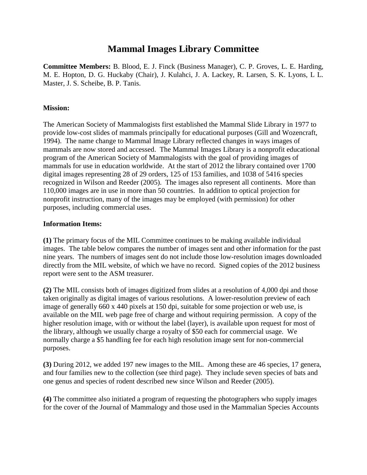# **Mammal Images Library Committee**

**Committee Members:** B. Blood, E. J. Finck (Business Manager), C. P. Groves, L. E. Harding, M. E. Hopton, D. G. Huckaby (Chair), J. Kulahci, J. A. Lackey, R. Larsen, S. K. Lyons, L L. Master, J. S. Scheibe, B. P. Tanis.

## **Mission:**

The American Society of Mammalogists first established the Mammal Slide Library in 1977 to provide low-cost slides of mammals principally for educational purposes (Gill and Wozencraft, 1994). The name change to Mammal Image Library reflected changes in ways images of mammals are now stored and accessed. The Mammal Images Library is a nonprofit educational program of the American Society of Mammalogists with the goal of providing images of mammals for use in education worldwide. At the start of 2012 the library contained over 1700 digital images representing 28 of 29 orders, 125 of 153 families, and 1038 of 5416 species recognized in Wilson and Reeder (2005). The images also represent all continents. More than 110,000 images are in use in more than 50 countries. In addition to optical projection for nonprofit instruction, many of the images may be employed (with permission) for other purposes, including commercial uses.

## **Information Items:**

**(1)** The primary focus of the MIL Committee continues to be making available individual images. The table below compares the number of images sent and other information for the past nine years. The numbers of images sent do not include those low-resolution images downloaded directly from the MIL website, of which we have no record. Signed copies of the 2012 business report were sent to the ASM treasurer.

**(2)** The MIL consists both of images digitized from slides at a resolution of 4,000 dpi and those taken originally as digital images of various resolutions. A lower-resolution preview of each image of generally 660 x 440 pixels at 150 dpi, suitable for some projection or web use, is available on the MIL web page free of charge and without requiring permission. A copy of the higher resolution image, with or without the label (layer), is available upon request for most of the library, although we usually charge a royalty of \$50 each for commercial usage. We normally charge a \$5 handling fee for each high resolution image sent for non-commercial purposes.

**(3)** During 2012, we added 197 new images to the MIL. Among these are 46 species, 17 genera, and four families new to the collection (see third page). They include seven species of bats and one genus and species of rodent described new since Wilson and Reeder (2005).

**(4)** The committee also initiated a program of requesting the photographers who supply images for the cover of the Journal of Mammalogy and those used in the Mammalian Species Accounts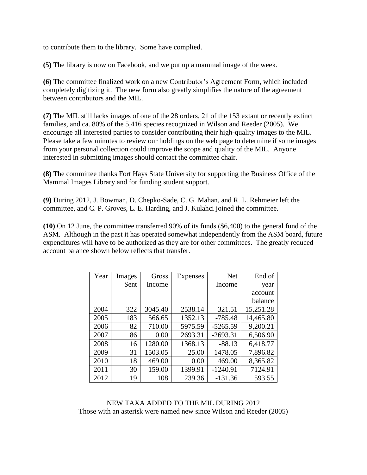to contribute them to the library. Some have complied.

**(5)** The library is now on Facebook, and we put up a mammal image of the week.

**(6)** The committee finalized work on a new Contributor's Agreement Form, which included completely digitizing it. The new form also greatly simplifies the nature of the agreement between contributors and the MIL.

**(7)** The MIL still lacks images of one of the 28 orders, 21 of the 153 extant or recently extinct families, and ca. 80% of the 5,416 species recognized in Wilson and Reeder (2005). We encourage all interested parties to consider contributing their high-quality images to the MIL. Please take a few minutes to review our holdings on the web page to determine if some images from your personal collection could improve the scope and quality of the MIL. Anyone interested in submitting images should contact the committee chair.

**(8)** The committee thanks Fort Hays State University for supporting the Business Office of the Mammal Images Library and for funding student support.

**(9)** During 2012, J. Bowman, D. Chepko-Sade, C. G. Mahan, and R. L. Rehmeier left the committee, and C. P. Groves, L. E. Harding, and J. Kulahci joined the committee.

**(10)** On 12 June, the committee transferred 90% of its funds (\$6,400) to the general fund of the ASM. Although in the past it has operated somewhat independently from the ASM board, future expenditures will have to be authorized as they are for other committees. The greatly reduced account balance shown below reflects that transfer.

| Year | Images | Gross   | Expenses | <b>Net</b> | End of    |
|------|--------|---------|----------|------------|-----------|
|      | Sent   | Income  |          | Income     | year      |
|      |        |         |          |            | account   |
|      |        |         |          |            | balance   |
| 2004 | 322    | 3045.40 | 2538.14  | 321.51     | 15,251.28 |
| 2005 | 183    | 566.65  | 1352.13  | $-785.48$  | 14,465.80 |
| 2006 | 82     | 710.00  | 5975.59  | $-5265.59$ | 9,200.21  |
| 2007 | 86     | 0.00    | 2693.31  | $-2693.31$ | 6,506.90  |
| 2008 | 16     | 1280.00 | 1368.13  | $-88.13$   | 6,418.77  |
| 2009 | 31     | 1503.05 | 25.00    | 1478.05    | 7,896.82  |
| 2010 | 18     | 469.00  | 0.00     | 469.00     | 8,365.82  |
| 2011 | 30     | 159.00  | 1399.91  | $-1240.91$ | 7124.91   |
| 2012 | 19     | 108     | 239.36   | $-131.36$  | 593.55    |

NEW TAXA ADDED TO THE MIL DURING 2012 Those with an asterisk were named new since Wilson and Reeder (2005)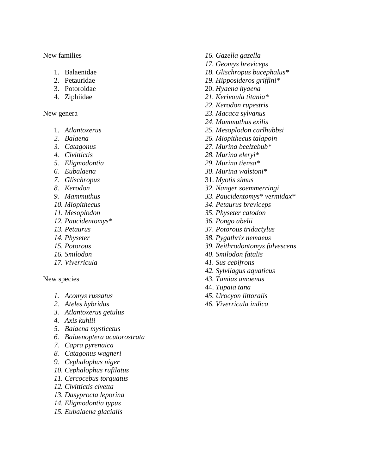#### New families

- 1. Balaenidae
- 2. Petauridae
- 3. Potoroidae
- 4. Ziphiidae

#### New genera

- 1. *Atlantoxerus*
- *2. Balaena*
- *3. Catagonus*
- *4. Civittictis*
- *5. Eligmodontia*
- *6. Eubalaena*
- *7. Glischropus*
- *8. Kerodon*
- *9. Mammuthus*
- *10. Miopithecus*
- *11. Mesoplodon*
- *12. Paucidentomys\**
- *13. Petaurus*
- *14. Physeter*
- *15. Potorous*
- *16. Smilodon*
- *17. Viverricula*

#### New species

- *1. Acomys russatus*
- *2. Ateles hybridus*
- *3. Atlantoxerus getulus*
- *4. Axis kuhlii*
- *5. Balaena mysticetus*
- *6. Balaenoptera acutorostrata*
- *7. Capra pyrenaica*
- *8. Catagonus wagneri*
- *9. Cephalophus niger*
- *10. Cephalophus rufilatus*
- *11. Cercocebus torquatus*
- *12. Civittictis civetta*
- *13. Dasyprocta leporina*
- *14. Eligmodontia typus*
- *15. Eubalaena glacialis*
- *16. Gazella gazella*
- *17. Geomys breviceps*
- *18. Glischropus bucephalus\**
- *19. Hipposideros griffini\**
- 20. *Hyaena hyaena*
- *21. Kerivoula titania\**
- *22. Kerodon rupestris*
- *23. Macaca sylvanus*
- *24. Mammuthus exilis*
- *25. Mesoplodon carlhubbsi*
- *26. Miopithecus talapoin*
- *27. Murina beelzebub\**
- *28. Murina eleryi\**
- *29. Murina tiensa\**
- *30. Murina walstoni\**
- 31. *Myotis simus*
- *32. Nanger soemmerringi*
- *33. Paucidentomys\* vermidax\**
- *34. Petaurus breviceps*
- *35. Physeter catodon*
- *36. Pongo abelii*
- *37. Potorous tridactylus*
- *38. Pygathrix nemaeus*
- *39. Reithrodontomys fulvescens*
- *40. Smilodon fatalis*
- *41. Sus cebifrons*
- *42. Sylvilagus aquaticus*
- *43. Tamias amoenus*
- 44. *Tupaia tana*
- *45. Urocyon littoralis*
- *46. Viverricula indica*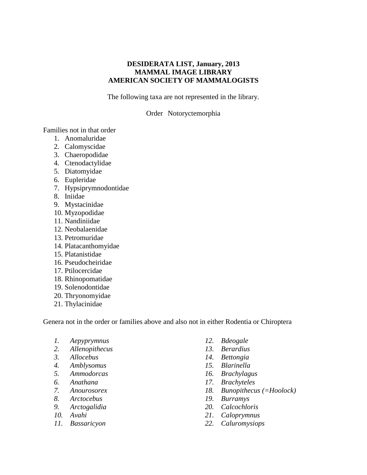## **DESIDERATA LIST, January, 2013 MAMMAL IMAGE LIBRARY AMERICAN SOCIETY OF MAMMALOGISTS**

The following taxa are not represented in the library.

## Order Notoryctemorphia

Families not in that order

- 1. Anomaluridae
- 2. Calomyscidae
- 3. Chaeropodidae
- 4. Ctenodactylidae
- 5. Diatomyidae
- 6. Eupleridae
- 7. Hypsiprymnodontidae
- 8. Iniidae
- 9. Mystacinidae
- 10. Myzopodidae
- 11. Nandiniidae
- 12. Neobalaenidae
- 13. Petromuridae
- 14. Platacanthomyidae
- 15. Platanistidae
- 16. Pseudocheiridae
- 17. Ptilocercidae
- 18. Rhinopomatidae
- 19. Solenodontidae
- 20. Thryonomyidae
- 21. Thylacinidae

Genera not in the order or families above and also not in either Rodentia or Chiroptera

- *1. Aepyprymnus*
- *2. Allenopithecus*
- *3. Allocebus*
- *4. Amblysomus*
- *5. Ammodorcas*
- *6. Anathana*
- *7. Anourosorex*
- *8. Arctocebus*
- *9. Arctogalidia*
- *10. Avahi*
- *11. Bassaricyon*
- *12. Bdeogale*
- *13. Berardius*
- *14. Bettongia*
- *15. Blarinella*
- *16. Brachylagus*
- *17. Brachyteles*
- *18. Bunopithecus (=Hoolock)*
- *19. Burramys*
- *20. Calcochloris*
- *21. Caloprymnus*
- *22. Caluromysiops*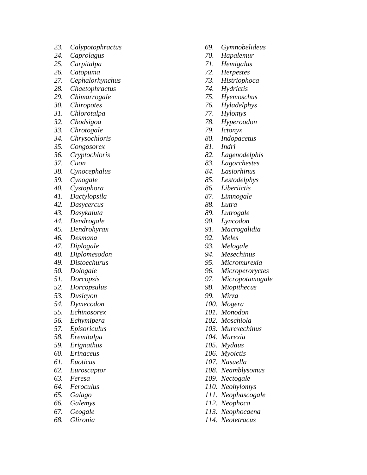- *23. Calypotophractus*
- *24. Caprolagus*
- *25. Carpitalpa*
- *26. Catopuma*
- *27. Cephalorhynchus*
- *28. Chaetophractus*
- *29. Chimarrogale*
- *30. Chiropotes*
- *31. Chlorotalpa*
- *32. Chodsigoa*
- *33. Chrotogale*
- *34. Chrysochloris*
- *35. Congosorex*
- *36. Cryptochloris*
- *37. Cuon*
- *38. Cynocephalus*
- *39. Cynogale*
- *40. Cystophora*
- *41. Dactylopsila*
- *42. Dasycercus*
- *43. Dasykaluta*
- *44. Dendrogale*
- *45. Dendrohyrax*
- *46. Desmana*
- *47. Diplogale*
- *48. Diplomesodon*
- *49. Distoechurus*
- *50. Dologale*
- *51. Dorcopsis*
- *52. Dorcopsulus*
- *53. Dusicyon*
- *54. Dymecodon*
- *55. Echinosorex*
- *56. Echymipera*
- *57. Episoriculus*
- *58. Eremitalpa*
- *59. Erignathus*
- *60. Erinaceus*
- *61. Euoticus*
- *62. Euroscaptor*
- *63. Feresa*
- *64. Feroculus*
- *65. Galago*
- *66. Galemys*
- *67. Geogale*
- *68. Glironia*
- *69. Gymnobelideus*
- *70. Hapalemur*
- *71. Hemigalus*
- *72. Herpestes*
- *73. Histriophoca*
- *74. Hydrictis*
- *75. Hyemoschus*
- *76. Hyladelphys*
- *77. Hylomys*
- *78. Hyperoodon*
- *79. Ictonyx*
- *80. Indopacetus*
- *81. Indri*
- *82. Lagenodelphis*
- *83. Lagorchestes*
- *84. Lasiorhinus*
- *85. Lestodelphys*
- *86. Liberiictis*
- *87. Limnogale*
- *88. Lutra*
- *89. Lutrogale*
- *90. Lyncodon*
- *91. Macrogalidia*
- *92. Meles*
- *93. Melogale*
- *94. Mesechinus*
- *95. Micromurexia*
- *96. Microperoryctes*
- *97. Micropotamogale*
- *98. Miopithecus*
- *99. Mirza*
- *100. Mogera*
- *101. Monodon*
- *102. Moschiola*
- *103. Murexechinus*
- *104. Murexia*
- *105. Mydaus*
- *106. Myoictis*
- *107. Nasuella*
- *108. Neamblysomus*
- *109. Nectogale*
- *110. Neohylomys*
- *111. Neophascogale*
- *112. Neophoca*
- *113. Neophocaena*
- *114. Neotetracus*